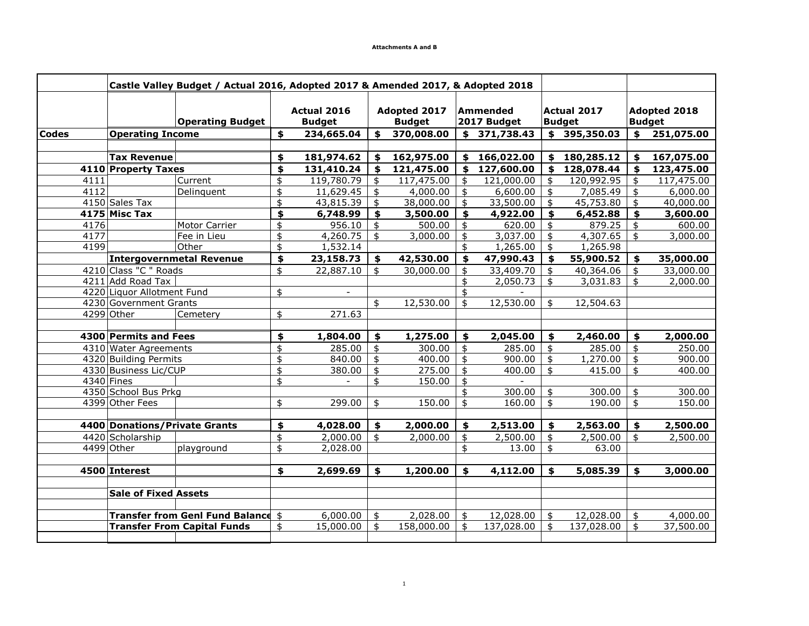|              |                               | Castle Valley Budget / Actual 2016, Adopted 2017 & Amended 2017, & Adopted 2018 |                              |            |                               |            |                         |              |                                     |                       |                               |            |
|--------------|-------------------------------|---------------------------------------------------------------------------------|------------------------------|------------|-------------------------------|------------|-------------------------|--------------|-------------------------------------|-----------------------|-------------------------------|------------|
|              |                               | <b>Operating Budget</b>                                                         | Actual 2016<br><b>Budget</b> |            | Adopted 2017<br><b>Budget</b> |            | Ammended<br>2017 Budget |              | <b>Actual 2017</b><br><b>Budget</b> |                       | Adopted 2018<br><b>Budget</b> |            |
| <b>Codes</b> | <b>Operating Income</b>       |                                                                                 | \$                           | 234,665.04 | \$                            | 370,008.00 |                         | \$371,738.43 |                                     | \$395,350.03          | $\frac{1}{2}$                 | 251,075.00 |
|              |                               |                                                                                 |                              |            |                               |            |                         |              |                                     |                       |                               |            |
|              | <b>Tax Revenue</b>            |                                                                                 | \$                           | 181,974.62 | \$                            | 162,975.00 | \$                      | 166,022.00   |                                     | \$180,285.12          | \$                            | 167,075.00 |
|              | 4110 Property Taxes           |                                                                                 | \$                           | 131,410.24 | \$                            | 121,475.00 | \$                      | 127,600.00   | \$                                  | 128,078.44            | \$                            | 123,475.00 |
| 4111         |                               | Current                                                                         | \$                           | 119,780.79 | \$                            | 117,475.00 | \$                      | 121,000.00   | \$                                  | 120,992.95            | \$                            | 117,475.00 |
| 4112         |                               | Delinquent                                                                      | \$                           | 11,629.45  | \$                            | 4,000.00   | \$                      | 6,600.00     | \$                                  | 7,085.49              | \$                            | 6,000.00   |
|              | 4150 Sales Tax                |                                                                                 | \$                           | 43,815.39  | $\ddot{\bm{z}}$               | 38,000.00  | $\ddot{\text{S}}$       | 33,500.00    | \$                                  | 45,753.80             | $\ddagger$                    | 40,000.00  |
|              | 4175 Misc Tax                 |                                                                                 | \$                           | 6,748.99   | \$                            | 3,500.00   | \$                      | 4,922.00     | \$                                  | 6,452.88              | \$                            | 3,600.00   |
| 4176         |                               | Motor Carrier                                                                   | \$                           | 956.10     | \$                            | 500.00     | \$                      | 620.00       | \$                                  | 879.25                | \$                            | 600.00     |
| 4177         |                               | Fee in Lieu                                                                     | \$                           | 4,260.75   | $\frac{4}{3}$                 | 3,000.00   | \$                      | 3,037.00     | \$                                  | 4,307.65              | \$                            | 3,000.00   |
| 4199         |                               | Other                                                                           | \$                           | 1,532.14   |                               |            | \$                      | 1,265.00     | \$                                  | 1,265.98              |                               |            |
|              |                               | <b>Intergovernmetal Revenue</b>                                                 | \$                           | 23,158.73  | \$                            | 42,530.00  | \$                      | 47,990.43    | \$                                  | 55,900.52             | \$                            | 35,000.00  |
|              | 4210 Class "C " Roads         |                                                                                 | \$                           | 22,887.10  | \$                            | 30,000.00  | \$                      | 33,409.70    | \$                                  | 40,364.06             | \$                            | 33,000.00  |
|              | 4211 Add Road Tax             |                                                                                 |                              |            |                               |            | \$                      | 2,050.73     | \$                                  | 3,031.83              | \$                            | 2,000.00   |
|              | 4220 Liquor Allotment Fund    |                                                                                 | \$                           |            |                               |            | \$                      |              |                                     |                       |                               |            |
|              | 4230 Government Grants        |                                                                                 |                              |            | \$                            | 12,530.00  | \$                      | 12,530.00    | \$                                  | 12,504.63             |                               |            |
|              | 4299 Other                    | Cemetery                                                                        | \$                           | 271.63     |                               |            |                         |              |                                     |                       |                               |            |
|              |                               |                                                                                 |                              |            |                               |            |                         |              |                                     |                       |                               |            |
|              | 4300 Permits and Fees         |                                                                                 | \$                           | 1,804.00   | \$                            | 1,275.00   | \$                      | 2,045.00     | \$                                  | 2,460.00              | \$                            | 2,000.00   |
|              | 4310 Water Agreements         |                                                                                 | \$                           | 285.00     | $\ddot{\bm{z}}$               | 300.00     | \$                      | 285.00       | \$                                  | 285.00                | \$                            | 250.00     |
|              | 4320 Building Permits         |                                                                                 | \$                           | 840.00     | \$                            | 400.00     | \$                      | 900.00       | \$                                  | $\overline{1,270.00}$ | \$                            | 900.00     |
|              | 4330 Business Lic/CUP         |                                                                                 | \$                           | 380.00     | \$                            | 275.00     | \$                      | 400.00       | \$                                  | 415.00                | \$                            | 400.00     |
|              | 4340 Fines                    |                                                                                 | \$                           |            | \$                            | 150.00     | \$                      |              |                                     |                       |                               |            |
|              | 4350 School Bus Prkg          |                                                                                 |                              |            |                               |            | \$                      | 300.00       | \$                                  | 300.00                | \$                            | 300.00     |
|              | 4399 Other Fees               |                                                                                 | \$                           | 299.00     | \$                            | 150.00     | \$                      | 160.00       | \$                                  | 190.00                | $\frac{1}{2}$                 | 150.00     |
|              |                               |                                                                                 |                              |            |                               |            |                         |              |                                     |                       |                               |            |
|              | 4400 Donations/Private Grants |                                                                                 | \$                           | 4,028.00   | \$                            | 2,000.00   | \$                      | 2,513.00     | \$                                  | 2,563.00              | \$                            | 2,500.00   |
|              | 4420 Scholarship              |                                                                                 | \$                           | 2,000.00   | $\ddot{\text{S}}$             | 2,000.00   | \$                      | 2,500.00     | \$                                  | 2,500.00              | \$                            | 2,500.00   |
|              | 4499 Other                    | playground                                                                      | \$                           | 2,028.00   |                               |            | \$                      | 13.00        | \$                                  | 63.00                 |                               |            |
|              |                               |                                                                                 |                              |            |                               |            |                         |              |                                     |                       |                               |            |
|              | 4500 Interest                 |                                                                                 | \$                           | 2,699.69   | \$                            | 1,200.00   | \$                      | 4,112.00     | \$                                  | 5,085.39              | \$                            | 3,000.00   |
|              |                               |                                                                                 |                              |            |                               |            |                         |              |                                     |                       |                               |            |
|              | <b>Sale of Fixed Assets</b>   |                                                                                 |                              |            |                               |            |                         |              |                                     |                       |                               |            |
|              |                               |                                                                                 |                              |            |                               |            |                         |              |                                     |                       |                               |            |
|              |                               | Transfer from Genl Fund Balance \$                                              |                              | 6,000.00   | \$                            | 2,028.00   | \$                      | 12,028.00    | \$                                  | 12,028.00             | \$                            | 4,000.00   |
|              |                               | <b>Transfer From Capital Funds</b>                                              | \$                           | 15,000.00  | \$                            | 158,000.00 | \$                      | 137,028.00   | \$                                  | 137,028.00            | \$                            | 37,500.00  |
|              |                               |                                                                                 |                              |            |                               |            |                         |              |                                     |                       |                               |            |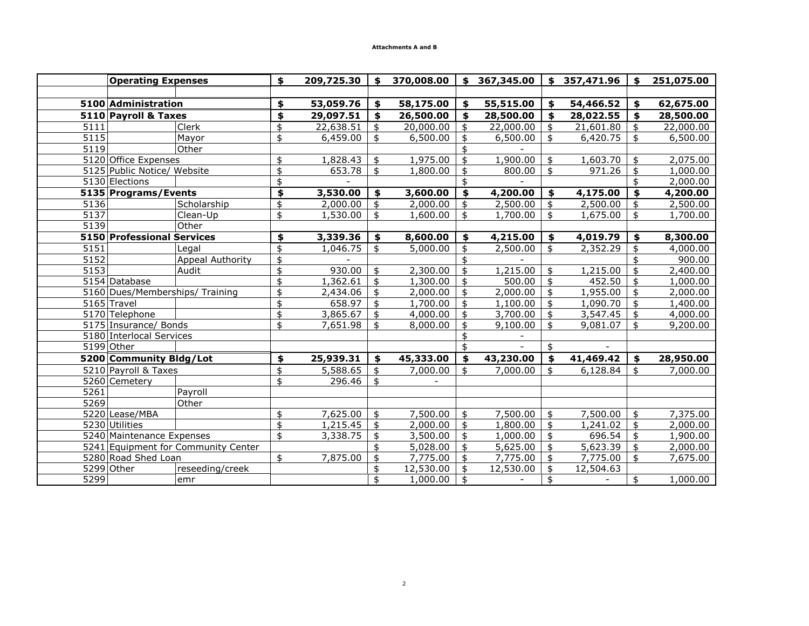|      | <b>Operating Expenses</b>       |                                     | \$<br>209,725.30 | \$                        | 370,008.00 | \$              | 367,345.00 |                   | \$357,471.96 | \$              | 251,075.00 |
|------|---------------------------------|-------------------------------------|------------------|---------------------------|------------|-----------------|------------|-------------------|--------------|-----------------|------------|
|      |                                 |                                     |                  |                           |            |                 |            |                   |              |                 |            |
|      | 5100 Administration             |                                     | \$<br>53,059.76  | \$                        | 58,175.00  | \$              | 55,515.00  | \$                | 54,466.52    | \$              | 62,675.00  |
|      | 5110 Payroll & Taxes            |                                     | \$<br>29,097.51  | \$                        | 26,500.00  | \$              | 28,500.00  | \$                | 28,022.55    | \$              | 28,500.00  |
| 5111 |                                 | Clerk                               | \$<br>22,638.51  | \$                        | 20,000.00  | \$              | 22,000.00  | \$                | 21,601.80    | \$              | 22,000.00  |
| 5115 |                                 | Mayor                               | \$<br>6,459.00   | $\ddot{\bm{z}}$           | 6,500.00   | \$              | 6,500.00   | \$                | 6,420.75     | $\frac{1}{2}$   | 6,500.00   |
| 5119 |                                 | Other                               |                  |                           |            | \$              |            |                   |              |                 |            |
|      | 5120 Office Expenses            |                                     | \$<br>1,828.43   | \$                        | 1,975.00   | \$              | 1,900.00   | \$                | 1,603.70     | \$              | 2,075.00   |
|      | 5125 Public Notice/ Website     |                                     | \$<br>653.78     | \$                        | 1,800.00   | \$              | 800.00     | \$                | 971.26       | \$              | 1,000.00   |
|      | 5130 Elections                  |                                     | \$               |                           |            | \$              |            |                   |              | \$              | 2,000.00   |
|      | 5135 Programs/Events            |                                     | \$<br>3,530.00   | \$                        | 3,600.00   | \$              | 4,200.00   | \$                | 4,175.00     | \$              | 4,200.00   |
| 5136 |                                 | Scholarship                         | \$<br>2,000.00   | \$                        | 2,000.00   | \$              | 2,500.00   | \$                | 2,500.00     | \$              | 2,500.00   |
| 5137 |                                 | Clean-Up                            | \$<br>1,530.00   | \$                        | 1,600.00   | \$              | 1,700.00   | \$                | 1,675.00     | \$              | 1,700.00   |
| 5139 |                                 | Other                               |                  |                           |            |                 |            |                   |              |                 |            |
|      | 5150 Professional Services      |                                     | \$<br>3,339.36   | \$                        | 8,600.00   | \$              | 4,215.00   | \$                | 4,019.79     | \$              | 8,300.00   |
| 5151 |                                 | Legal                               | \$<br>1,046.75   | $\overline{\mathfrak{s}}$ | 5,000.00   | \$              | 2,500.00   | \$                | 2,352.29     | \$              | 4,000.00   |
| 5152 |                                 | Appeal Authority                    | \$               |                           |            | \$              |            |                   |              |                 | 900.00     |
| 5153 |                                 | Audit                               | \$<br>930.00     | \$                        | 2,300.00   | \$              | 1,215.00   | \$                | 1,215.00     | \$              | 2,400.00   |
|      | 5154 Database                   |                                     | \$<br>1,362.61   | $\frac{1}{2}$             | 1,300.00   | \$              | 500.00     | $\ddot{\text{S}}$ | 452.50       | $\frac{1}{2}$   | 1,000.00   |
|      | 5160 Dues/Memberships/ Training |                                     | \$<br>2,434.06   | $\frac{1}{2}$             | 2,000.00   | \$              | 2,000.00   | \$                | 1,955.00     | \$              | 2,000.00   |
|      | 5165 Travel                     |                                     | \$<br>658.97     | \$                        | 1,700.00   | \$              | 1,100.00   | \$                | 1,090.70     | \$              | 1,400.00   |
|      | 5170 Telephone                  |                                     | \$<br>3,865.67   | $\frac{1}{2}$             | 4,000.00   | \$              | 3,700.00   | \$                | 3,547.45     | \$              | 4,000.00   |
|      | 5175 Insurance/ Bonds           |                                     | \$<br>7,651.98   | \$                        | 8,000.00   | \$              | 9,100.00   | \$                | 9,081.07     | \$              | 9,200.00   |
|      | 5180 Interlocal Services        |                                     |                  |                           |            | \$              |            |                   |              |                 |            |
|      | 5199 Other                      |                                     |                  |                           |            | \$              |            | \$                |              |                 |            |
|      | 5200 Community Bldg/Lot         |                                     | \$<br>25,939.31  | \$                        | 45,333.00  | \$              | 43,230.00  | \$                | 41,469.42    | \$              | 28,950.00  |
|      | 5210 Payroll & Taxes            |                                     | \$<br>5,588.65   | \$                        | 7,000.00   | \$              | 7,000.00   | \$                | 6,128.84     | \$              | 7,000.00   |
|      | 5260 Cemetery                   |                                     | \$<br>296.46     | \$                        |            |                 |            |                   |              |                 |            |
| 5261 |                                 | Payroll                             |                  |                           |            |                 |            |                   |              |                 |            |
| 5269 |                                 | Other                               |                  |                           |            |                 |            |                   |              |                 |            |
|      | 5220 Lease/MBA                  |                                     | \$<br>7,625.00   | \$                        | 7,500.00   | \$              | 7,500.00   | \$                | 7,500.00     | $\frac{1}{2}$   | 7,375.00   |
|      | 5230 Utilities                  |                                     | \$<br>1,215.45   | $\frac{1}{2}$             | 2,000.00   | \$              | 1,800.00   | \$                | 1,241.02     | $\ddot{\bm{z}}$ | 2,000.00   |
|      | 5240 Maintenance Expenses       |                                     | \$<br>3,338.75   | $\ddot{\bm{z}}$           | 3,500.00   | $\ddot{\bm{z}}$ | 1,000.00   | \$                | 696.54       | $\frac{1}{2}$   | 1,900.00   |
|      |                                 | 5241 Equipment for Community Center |                  | \$                        | 5,028.00   | $\ddot{\bm{z}}$ | 5,625.00   | \$                | 5,623.39     | $\frac{1}{2}$   | 2,000.00   |
|      | 5280 Road Shed Loan             |                                     | \$<br>7,875.00   | $\frac{1}{2}$             | 7,775.00   | \$              | 7,775.00   | \$                | 7,775.00     | $\ddagger$      | 7,675.00   |
|      | $\overline{5299}$ Other         | reseeding/creek                     |                  | \$                        | 12,530.00  | \$              | 12,530.00  | \$                | 12,504.63    |                 |            |
| 5299 |                                 | emr                                 |                  | \$                        | 1,000.00   | \$              |            | \$                |              | \$              | 1,000.00   |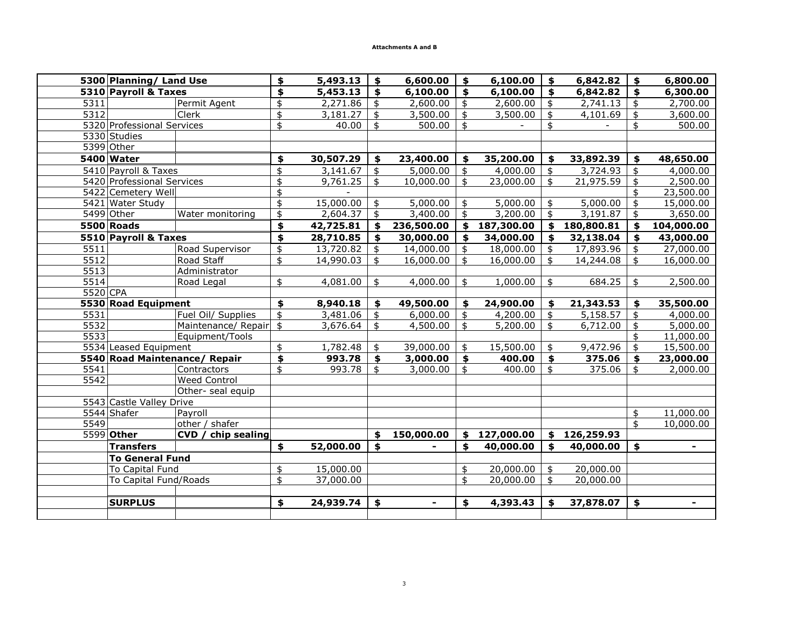|          | 5300 Planning/ Land Use    |                               | \$                  | 5,493.13  | \$            | 6,600.00   | \$            | 6,100.00   | \$                 | 6,842.82   | \$                      | 6,800.00       |
|----------|----------------------------|-------------------------------|---------------------|-----------|---------------|------------|---------------|------------|--------------------|------------|-------------------------|----------------|
|          | 5310 Payroll & Taxes       |                               | \$                  | 5,453.13  | \$            | 6,100.00   | \$            | 6,100.00   | \$                 | 6,842.82   | \$                      | 6,300.00       |
| 5311     |                            | Permit Agent                  | \$                  | 2,271.86  | \$            | 2,600.00   | \$            | 2,600.00   | \$                 | 2,741.13   | \$                      | 2,700.00       |
| 5312     |                            | Clerk                         | \$                  | 3,181.27  | \$            | 3,500.00   | \$            | 3,500.00   | \$                 | 4,101.69   | \$                      | 3,600.00       |
|          | 5320 Professional Services |                               | \$                  | 40.00     | \$            | 500.00     | \$            |            | \$                 |            | \$                      | 500.00         |
|          | 5330 Studies               |                               |                     |           |               |            |               |            |                    |            |                         |                |
|          | 5399 Other                 |                               |                     |           |               |            |               |            |                    |            |                         |                |
|          | 5400 Water                 |                               | \$                  | 30,507.29 | \$            | 23,400.00  | \$            | 35,200.00  | \$                 | 33,892.39  | \$                      | 48,650.00      |
|          | 5410 Payroll & Taxes       |                               | \$                  | 3,141.67  | \$            | 5,000.00   | \$            | 4,000.00   | \$                 | 3,724.93   | \$                      | 4,000.00       |
|          | 5420 Professional Services |                               | \$                  | 9,761.25  | \$            | 10,000.00  | \$            | 23,000.00  | \$                 | 21,975.59  | \$                      | 2,500.00       |
|          | 5422 Cemetery Well         |                               | \$                  |           |               |            |               |            |                    |            | \$                      | 23,500.00      |
|          | 5421 Water Study           |                               | \$                  | 15,000.00 | \$            | 5,000.00   | \$            | 5,000.00   | \$                 | 5,000.00   | $\frac{1}{2}$           | 15,000.00      |
|          | 5499 Other                 | Water monitoring              | \$                  | 2,604.37  | $\frac{4}{3}$ | 3,400.00   | $\frac{4}{5}$ | 3,200.00   | \$                 | 3,191.87   | $\overline{\mathbf{t}}$ | 3,650.00       |
|          | 5500 Roads                 |                               | \$                  | 42,725.81 | \$            | 236,500.00 | \$            | 187,300.00 | $\frac{1}{2}$      | 180,800.81 | \$                      | 104,000.00     |
|          | 5510 Payroll & Taxes       |                               | \$                  | 28,710.85 | \$            | 30,000.00  | \$            | 34,000.00  | \$                 | 32,138.04  | \$                      | 43,000.00      |
| 5511     |                            | Road Supervisor               | \$                  | 13,720.82 | \$            | 14,000.00  | \$            | 18,000.00  | \$                 | 17,893.96  | \$                      | 27,000.00      |
| 5512     |                            | Road Staff                    | \$                  | 14,990.03 | \$            | 16,000.00  | \$            | 16,000.00  | \$                 | 14,244.08  | \$                      | 16,000.00      |
| 5513     |                            | Administrator                 |                     |           |               |            |               |            |                    |            |                         |                |
| 5514     |                            | Road Legal                    | \$                  | 4,081.00  | \$            | 4,000.00   | \$            | 1,000.00   | \$                 | 684.25     | \$                      | 2,500.00       |
| 5520 CPA |                            |                               |                     |           |               |            |               |            |                    |            |                         |                |
|          | 5530 Road Equipment        |                               | \$                  | 8,940.18  | \$            | 49,500.00  | \$            | 24,900.00  | \$                 | 21,343.53  | \$                      | 35,500.00      |
| 5531     |                            | Fuel Oil/ Supplies            | $\ddot{\mathbf{S}}$ | 3,481.06  | \$            | 6,000.00   | \$            | 4,200.00   | \$                 | 5,158.57   | \$                      | 4,000.00       |
| 5532     |                            | Maintenance/ Repair           | $\frac{4}{5}$       | 3,676.64  | \$            | 4,500.00   | \$            | 5,200.00   | \$                 | 6,712.00   | \$                      | 5,000.00       |
| 5533     |                            | Equipment/Tools               |                     |           |               |            |               |            |                    |            | \$                      | 11,000.00      |
|          | 5534 Leased Equipment      |                               | \$                  | 1,782.48  | \$            | 39,000.00  | \$            | 15,500.00  | \$                 | 9,472.96   | \$                      | 15,500.00      |
|          |                            | 5540 Road Maintenance/ Repair | \$                  | 993.78    | \$            | 3,000.00   | \$            | 400.00     | \$                 | 375.06     | \$                      | 23,000.00      |
| 5541     |                            | Contractors                   | \$                  | 993.78    | \$            | 3,000.00   | \$            | 400.00     | \$                 | 375.06     | \$                      | 2,000.00       |
| 5542     |                            | <b>Weed Control</b>           |                     |           |               |            |               |            |                    |            |                         |                |
|          |                            | Other- seal equip             |                     |           |               |            |               |            |                    |            |                         |                |
|          | 5543 Castle Valley Drive   |                               |                     |           |               |            |               |            |                    |            |                         |                |
|          | 5544 Shafer                | Payroll                       |                     |           |               |            |               |            |                    |            | \$                      | 11,000.00      |
| 5549     |                            | other / shafer                |                     |           |               |            |               |            |                    |            | \$                      | 10,000.00      |
|          | 5599 Other                 | CVD / chip sealing            |                     |           | \$            | 150,000.00 | \$            | 127,000.00 | \$                 | 126,259.93 |                         |                |
|          | <b>Transfers</b>           |                               | $\blacklozenge$     | 52,000.00 | \$            |            | \$            | 40,000.00  | $\mathbf{\hat{5}}$ | 40,000.00  | $\blacklozenge$         | $\blacksquare$ |
|          | <b>To General Fund</b>     |                               |                     |           |               |            |               |            |                    |            |                         |                |
|          | To Capital Fund            |                               | \$                  | 15,000.00 |               |            | \$            | 20,000.00  | \$                 | 20,000.00  |                         |                |
|          | To Capital Fund/Roads      |                               | \$                  | 37,000.00 |               |            | \$            | 20,000.00  | \$                 | 20,000.00  |                         |                |
|          |                            |                               |                     |           |               |            |               |            |                    |            |                         |                |
|          | <b>SURPLUS</b>             |                               | \$                  | 24,939.74 | \$            |            | \$            | 4,393.43   | Ś.                 | 37,878.07  | \$                      | $\blacksquare$ |
|          |                            |                               |                     |           |               |            |               |            |                    |            |                         |                |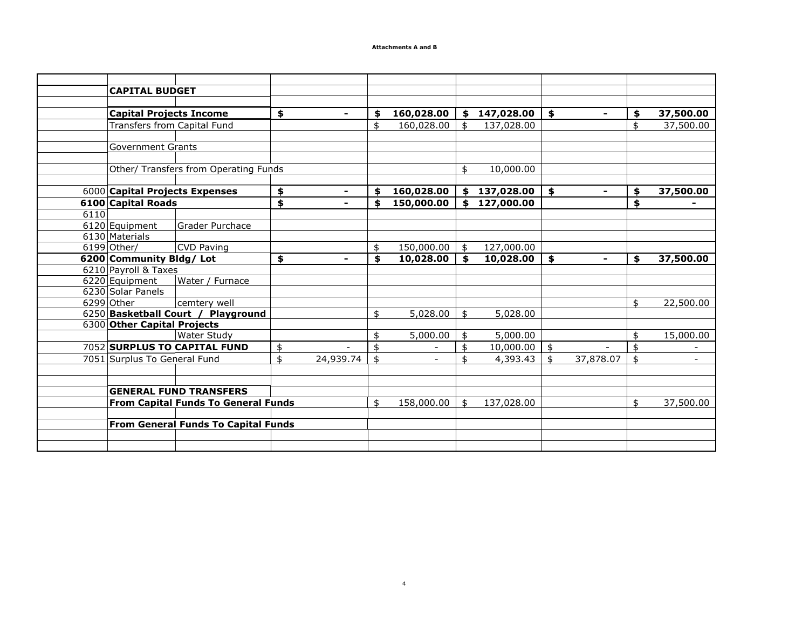|      | <b>CAPITAL BUDGET</b>          |                                            |                      |                                |                  |                      |                 |
|------|--------------------------------|--------------------------------------------|----------------------|--------------------------------|------------------|----------------------|-----------------|
|      |                                |                                            |                      |                                |                  |                      |                 |
|      | <b>Capital Projects Income</b> |                                            | \$                   | \$<br>160,028.00               | \$<br>147,028.00 | \$<br>$\blacksquare$ | \$<br>37,500.00 |
|      | Transfers from Capital Fund    |                                            |                      | \$<br>160,028.00               | \$<br>137,028.00 |                      | \$<br>37,500.00 |
|      |                                |                                            |                      |                                |                  |                      |                 |
|      | <b>Government Grants</b>       |                                            |                      |                                |                  |                      |                 |
|      |                                |                                            |                      |                                |                  |                      |                 |
|      |                                | Other/ Transfers from Operating Funds      |                      |                                | \$<br>10,000.00  |                      |                 |
|      |                                |                                            |                      |                                |                  |                      |                 |
|      | 6000 Capital Projects Expenses |                                            | \$<br>$\blacksquare$ | \$<br>160,028.00               | \$<br>137,028.00 | \$<br>$\blacksquare$ | \$<br>37,500.00 |
|      | <b>6100 Capital Roads</b>      |                                            | \$                   | \$<br>150,000.00               | \$<br>127,000.00 |                      | \$              |
| 6110 |                                |                                            |                      |                                |                  |                      |                 |
|      | 6120 Equipment                 | Grader Purchace                            |                      |                                |                  |                      |                 |
|      | 6130 Materials                 |                                            |                      |                                |                  |                      |                 |
|      | 6199 Other/                    | <b>CVD Paving</b>                          |                      | \$<br>150,000.00               | \$<br>127,000.00 |                      |                 |
|      | 6200 Community Bldg/ Lot       |                                            | \$                   | \$<br>10,028.00                | \$<br>10,028.00  | \$<br>$\blacksquare$ | \$<br>37,500.00 |
|      | 6210 Payroll & Taxes           |                                            |                      |                                |                  |                      |                 |
|      | 6220 Equipment                 | Water / Furnace                            |                      |                                |                  |                      |                 |
|      | 6230 Solar Panels              |                                            |                      |                                |                  |                      |                 |
|      | 6299 Other                     | cemtery well                               |                      |                                |                  |                      | \$<br>22,500.00 |
|      |                                | 6250 Basketball Court / Playground         |                      | \$<br>5,028.00                 | \$<br>5,028.00   |                      |                 |
|      | 6300 Other Capital Projects    |                                            |                      |                                |                  |                      |                 |
|      |                                | <b>Water Study</b>                         |                      | \$<br>5,000.00                 | \$<br>5,000.00   |                      | \$<br>15,000.00 |
|      |                                | 7052 SURPLUS TO CAPITAL FUND               | \$                   | \$                             | \$<br>10,000.00  | \$                   | \$              |
|      | 7051 Surplus To General Fund   |                                            | \$<br>24,939.74      | \$<br>$\overline{\phantom{a}}$ | \$<br>4,393.43   | \$<br>37,878.07      | \$              |
|      |                                |                                            |                      |                                |                  |                      |                 |
|      |                                |                                            |                      |                                |                  |                      |                 |
|      |                                | <b>GENERAL FUND TRANSFERS</b>              |                      |                                |                  |                      |                 |
|      |                                | <b>From Capital Funds To General Funds</b> |                      | \$<br>158,000.00               | \$<br>137,028.00 |                      | \$<br>37,500.00 |
|      |                                |                                            |                      |                                |                  |                      |                 |
|      |                                | <b>From General Funds To Capital Funds</b> |                      |                                |                  |                      |                 |
|      |                                |                                            |                      |                                |                  |                      |                 |
|      |                                |                                            |                      |                                |                  |                      |                 |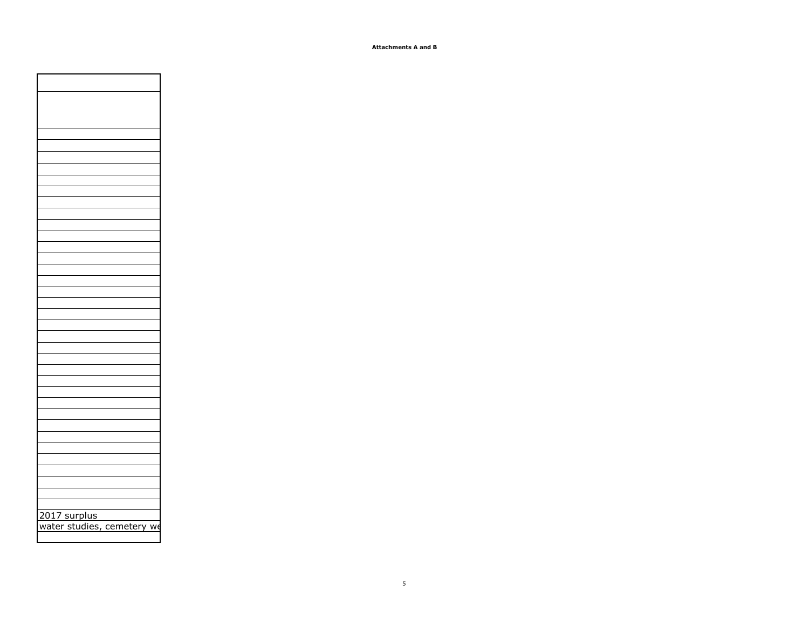| 2017 surplus<br>water studies, cemetery we |
|--------------------------------------------|
|                                            |
|                                            |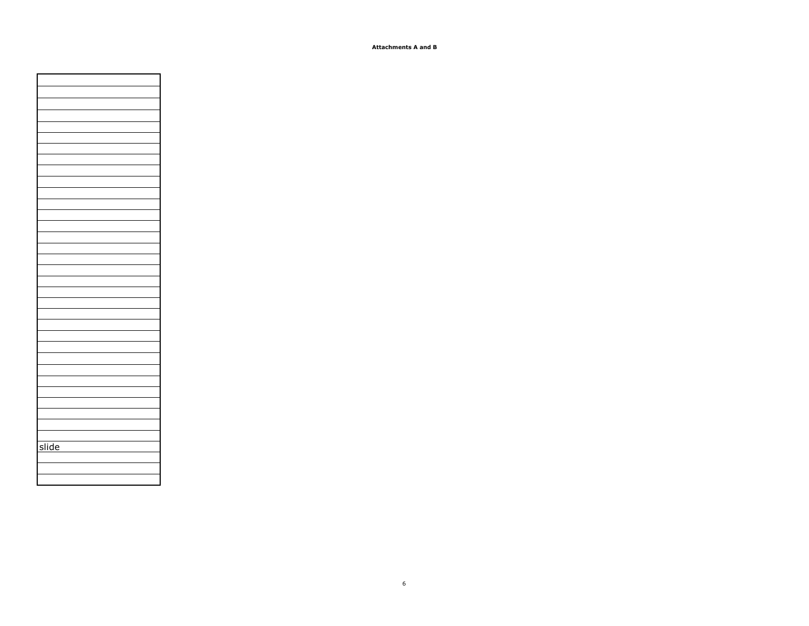| slide |
|-------|
|       |
|       |
|       |
|       |